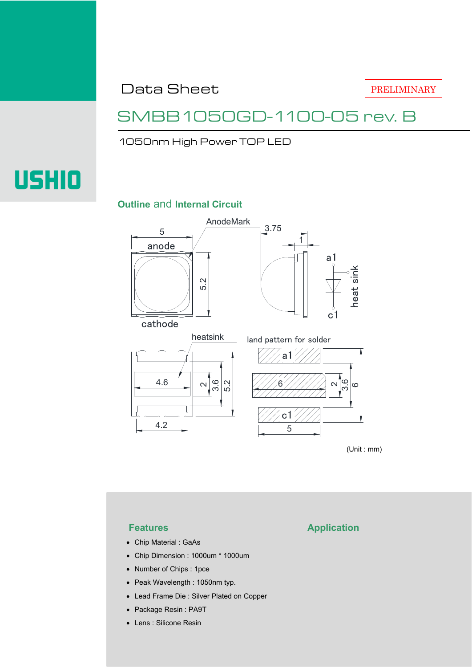Data Sheet

PRELIMINARY

### SMBB1050GD-1100-05 rev. B

1050nm High Power TOP LED

# **USHIO**

### **Outline** and **Internal Circuit**



(Unit : mm)

- Chip Material : GaAs
- Chip Dimension : 1000um \* 1000um
- Number of Chips : 1pce
- Peak Wavelength : 1050nm typ.
- Lead Frame Die : Silver Plated on Copper
- Package Resin : PA9T
- Lens : Silicone Resin

### **Features Application**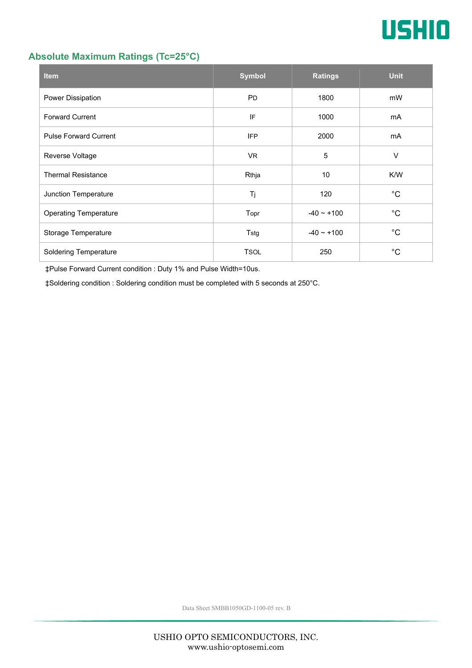

### **Absolute Maximum Ratings (Tc=25°C)**

| <b>Item</b>                  | <b>Symbol</b> | <b>Ratings</b>  | <b>Unit</b> |
|------------------------------|---------------|-----------------|-------------|
| Power Dissipation            | <b>PD</b>     | 1800            | mW          |
| <b>Forward Current</b>       | IF            | 1000            | mA          |
| <b>Pulse Forward Current</b> | <b>IFP</b>    | 2000            | mA          |
| Reverse Voltage              | <b>VR</b>     | 5               | $\vee$      |
| <b>Thermal Resistance</b>    | Rthja         | 10              | K/W         |
| Junction Temperature         | Tj            | 120             | $^{\circ}C$ |
| <b>Operating Temperature</b> | Topr          | $-40 \sim +100$ | $^{\circ}C$ |
| Storage Temperature          | Tstg          | $-40 - +100$    | $^{\circ}C$ |
| <b>Soldering Temperature</b> | <b>TSOL</b>   | 250             | °С          |

‡Pulse Forward Current condition : Duty 1% and Pulse Width=10us.

‡Soldering condition : Soldering condition must be completed with 5 seconds at 250°C.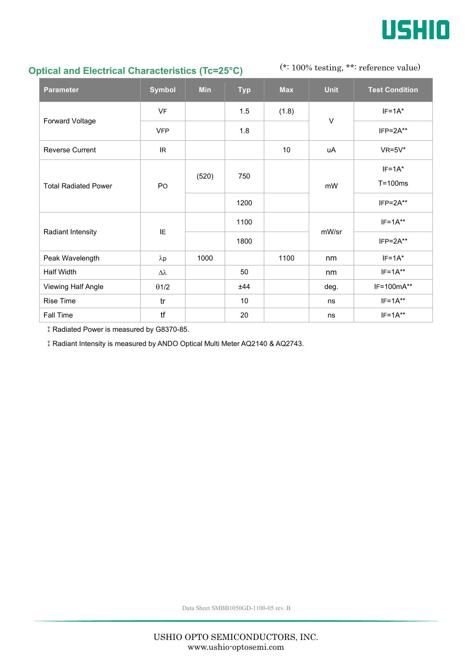

### **Optical and Electrical Characteristics (Tc=25°C)**

(\*: 100% testing, \*\*: reference value)

| <b>Parameter</b>            | <b>Symbol</b>    | <b>Min</b> | <b>Typ</b> | <b>Max</b>      | <b>Unit</b> | <b>Test Condition</b> |
|-----------------------------|------------------|------------|------------|-----------------|-------------|-----------------------|
| Forward Voltage             | <b>VF</b>        |            | 1.5        | (1.8)           | $\vee$      | $IF=1A*$              |
|                             | <b>VFP</b>       |            | 1.8        |                 |             | $IFP = 2A**$          |
| <b>Reverse Current</b>      | IR               |            |            | 10 <sup>°</sup> | uA          | $VR=5V^*$             |
| <b>Total Radiated Power</b> | PO               | (520)      | 750        |                 | mW          | $IF=1A*$              |
|                             |                  |            |            |                 |             | $T = 100ms$           |
|                             |                  |            | 1200       |                 |             | $IFP = 2A**$          |
| Radiant Intensity           | IE.              |            | 1100       |                 | mW/sr       | $IF=1A**$             |
|                             |                  |            | 1800       |                 |             | $IFP = 2A**$          |
| Peak Wavelength             | $\lambda p$      | 1000       |            | 1100            | nm          | $IF=1A*$              |
| Half Width                  | $\Delta \lambda$ |            | 50         |                 | nm          | $IF=1A**$             |
| Viewing Half Angle          | $\theta$ 1/2     |            | ±44        |                 | deg.        | IF=100mA**            |
| <b>Rise Time</b>            | tr               |            | 10         |                 | ns          | $IF=1A**$             |
| Fall Time                   | tf               |            | 20         |                 | ns          | $IF=1A**$             |

‡Radiated Power is measured by G8370-85.

‡Radiant Intensity is measured by ANDO Optical Multi Meter AQ2140 & AQ2743.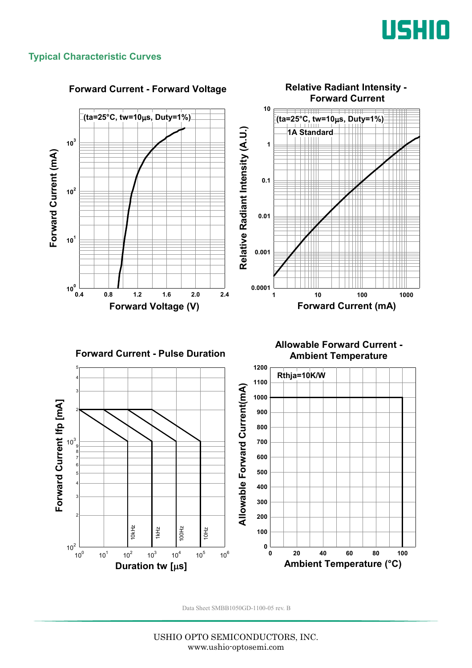

### **Typical Characteristic Curves**

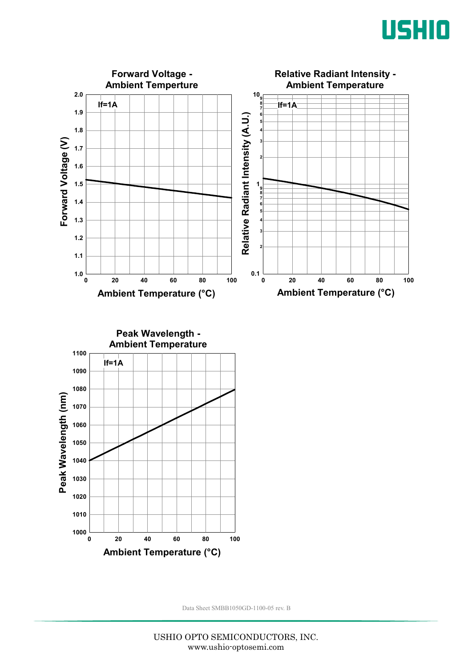



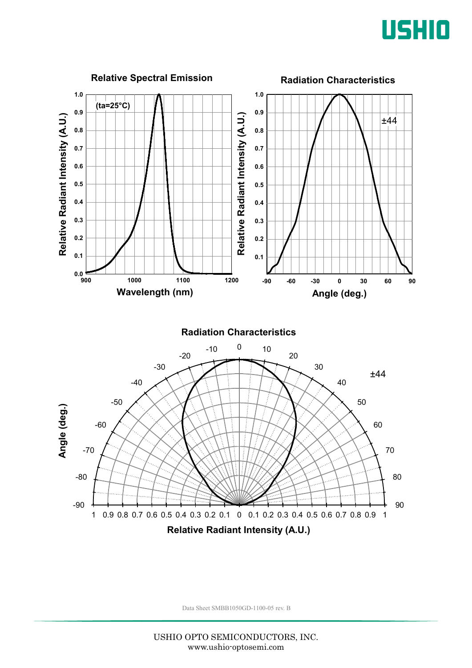

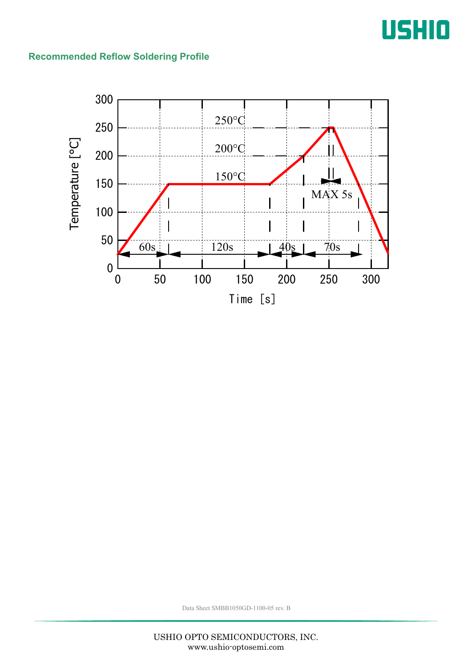## USHIO

### **Recommended Reflow Soldering Profile**

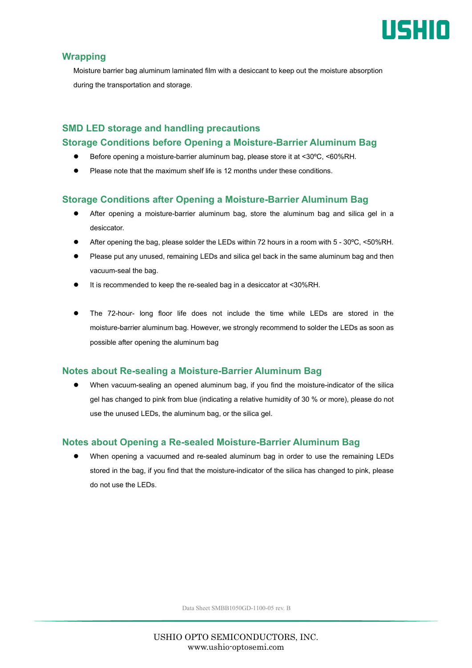

### **Wrapping**

Moisture barrier bag aluminum laminated film with a desiccant to keep out the moisture absorption during the transportation and storage.

### **SMD LED storage and handling precautions Storage Conditions before Opening a Moisture-Barrier Aluminum Bag**

- Before opening a moisture-barrier aluminum bag, please store it at <30ºC, <60%RH.
- Please note that the maximum shelf life is 12 months under these conditions.

### **Storage Conditions after Opening a Moisture-Barrier Aluminum Bag**

- After opening a moisture-barrier aluminum bag, store the aluminum bag and silica gel in a desiccator.
- After opening the bag, please solder the LEDs within 72 hours in a room with 5 30ºC, <50%RH.
- Please put any unused, remaining LEDs and silica gel back in the same aluminum bag and then vacuum-seal the bag.
- It is recommended to keep the re-sealed bag in a desiccator at <30%RH.
- The 72-hour- long floor life does not include the time while LEDs are stored in the moisture-barrier aluminum bag. However, we strongly recommend to solder the LEDs as soon as possible after opening the aluminum bag

### **Notes about Re-sealing a Moisture-Barrier Aluminum Bag**

 When vacuum-sealing an opened aluminum bag, if you find the moisture-indicator of the silica gel has changed to pink from blue (indicating a relative humidity of 30 % or more), please do not use the unused LEDs, the aluminum bag, or the silica gel.

### **Notes about Opening a Re-sealed Moisture-Barrier Aluminum Bag**

 When opening a vacuumed and re-sealed aluminum bag in order to use the remaining LEDs stored in the bag, if you find that the moisture-indicator of the silica has changed to pink, please do not use the LEDs.